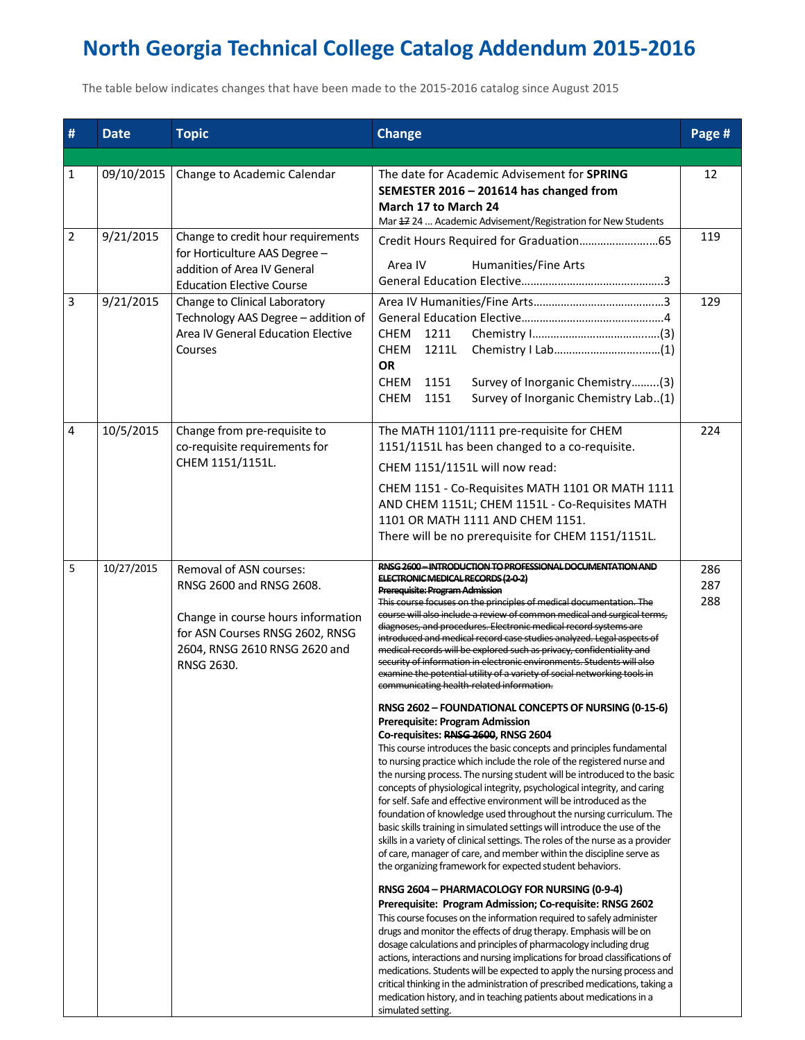## **North Georgia Technical College Catalog Addendum 2015-2016**

The table below indicates changes that have been made to the 2015-2016 catalog since August 2015

| #              | <b>Date</b> | <b>Topic</b>                                                                                                                                                                | <b>Change</b>                                                                                                                                                                                                                                                                                                                                                                                                                                                                                                                                                                                                                                                                                                                                                                                                                                                                                                                                                                                                                                                                                                                                                                                                                                                                                                                                                                                                                                                                                                                                                                                                                                                                                                                                                                                       | Page #            |
|----------------|-------------|-----------------------------------------------------------------------------------------------------------------------------------------------------------------------------|-----------------------------------------------------------------------------------------------------------------------------------------------------------------------------------------------------------------------------------------------------------------------------------------------------------------------------------------------------------------------------------------------------------------------------------------------------------------------------------------------------------------------------------------------------------------------------------------------------------------------------------------------------------------------------------------------------------------------------------------------------------------------------------------------------------------------------------------------------------------------------------------------------------------------------------------------------------------------------------------------------------------------------------------------------------------------------------------------------------------------------------------------------------------------------------------------------------------------------------------------------------------------------------------------------------------------------------------------------------------------------------------------------------------------------------------------------------------------------------------------------------------------------------------------------------------------------------------------------------------------------------------------------------------------------------------------------------------------------------------------------------------------------------------------------|-------------------|
| $\mathbf{1}$   | 09/10/2015  | Change to Academic Calendar                                                                                                                                                 | The date for Academic Advisement for <b>SPRING</b><br>SEMESTER 2016 - 201614 has changed from<br>March 17 to March 24<br>Mar # 24  Academic Advisement/Registration for New Students                                                                                                                                                                                                                                                                                                                                                                                                                                                                                                                                                                                                                                                                                                                                                                                                                                                                                                                                                                                                                                                                                                                                                                                                                                                                                                                                                                                                                                                                                                                                                                                                                |                   |
| $\overline{2}$ | 9/21/2015   | Change to credit hour requirements<br>for Horticulture AAS Degree -<br>addition of Area IV General<br><b>Education Elective Course</b>                                      | <b>Humanities/Fine Arts</b><br>Area IV                                                                                                                                                                                                                                                                                                                                                                                                                                                                                                                                                                                                                                                                                                                                                                                                                                                                                                                                                                                                                                                                                                                                                                                                                                                                                                                                                                                                                                                                                                                                                                                                                                                                                                                                                              | 119               |
| $\mathsf{3}$   | 9/21/2015   | Change to Clinical Laboratory<br>Technology AAS Degree - addition of<br>Area IV General Education Elective<br>Courses                                                       | <b>CHEM</b><br>1211<br>CHEM<br>1211L<br><b>OR</b><br>Survey of Inorganic Chemistry(3)<br>CHEM 1151<br>Survey of Inorganic Chemistry Lab(1)<br>CHEM 1151                                                                                                                                                                                                                                                                                                                                                                                                                                                                                                                                                                                                                                                                                                                                                                                                                                                                                                                                                                                                                                                                                                                                                                                                                                                                                                                                                                                                                                                                                                                                                                                                                                             | 129               |
| 4              | 10/5/2015   | Change from pre-requisite to<br>co-requisite requirements for<br>CHEM 1151/1151L.                                                                                           | The MATH 1101/1111 pre-requisite for CHEM<br>1151/1151L has been changed to a co-requisite.<br>CHEM 1151/1151L will now read:<br>CHEM 1151 - Co-Requisites MATH 1101 OR MATH 1111<br>AND CHEM 1151L; CHEM 1151L - Co-Requisites MATH<br>1101 OR MATH 1111 AND CHEM 1151.<br>There will be no prerequisite for CHEM 1151/1151L.                                                                                                                                                                                                                                                                                                                                                                                                                                                                                                                                                                                                                                                                                                                                                                                                                                                                                                                                                                                                                                                                                                                                                                                                                                                                                                                                                                                                                                                                      | 224               |
| 5              | 10/27/2015  | Removal of ASN courses:<br>RNSG 2600 and RNSG 2608.<br>Change in course hours information<br>for ASN Courses RNSG 2602, RNSG<br>2604, RNSG 2610 RNSG 2620 and<br>RNSG 2630. | RNSG 2600-INTRODUCTION TO PROFESSIONAL DOCUMENTATION AND<br>ELECTRONIC MEDICAL RECORDS (2 0 2)<br>Prerequisite: Program Admission<br>This course focuses on the principles of medical documentation. The<br>course will also include a review of common medical and surgical terms,<br>diagnoses, and procedures. Electronic medical record systems are<br>introduced and medical record case studies analyzed. Legal aspects of<br>medical records will be explored such as privacy, confidentiality and<br>security of information in electronic environments. Students will also<br>examine the potential utility of a variety of social networking tools in<br>communicating health-related information.<br>RNSG 2602 - FOUNDATIONAL CONCEPTS OF NURSING (0-15-6)<br><b>Prerequisite: Program Admission</b><br>Co-requisites: RNSG 2600, RNSG 2604<br>This course introduces the basic concepts and principles fundamental<br>to nursing practice which include the role of the registered nurse and<br>the nursing process. The nursing student will be introduced to the basic<br>concepts of physiological integrity, psychological integrity, and caring<br>for self. Safe and effective environment will be introduced as the<br>foundation of knowledge used throughout the nursing curriculum. The<br>basic skills training in simulated settings will introduce the use of the<br>skills in a variety of clinical settings. The roles of the nurse as a provider<br>of care, manager of care, and member within the discipline serve as<br>the organizing framework for expected student behaviors.<br>RNSG 2604 - PHARMACOLOGY FOR NURSING (0-9-4)<br>Prerequisite: Program Admission; Co-requisite: RNSG 2602<br>This course focuses on the information required to safely administer | 286<br>287<br>288 |
|                |             |                                                                                                                                                                             | drugs and monitor the effects of drug therapy. Emphasis will be on<br>dosage calculations and principles of pharmacology including drug<br>actions, interactions and nursing implications for broad classifications of<br>medications. Students will be expected to apply the nursing process and<br>critical thinking in the administration of prescribed medications, taking a<br>medication history, and in teaching patients about medications in a<br>simulated setting.                                                                                                                                                                                                                                                                                                                                                                                                                                                                                                                                                                                                                                                                                                                                                                                                                                                                                                                                                                                                                                                                                                                                                                                                                                                                                                                       |                   |